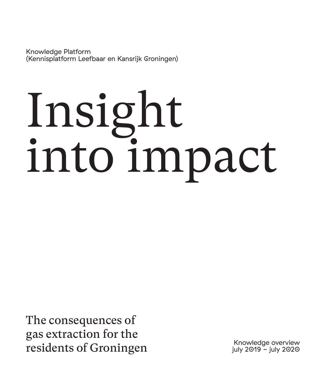Knowledge Platform (Kennisplatform Leefbaar en Kansrijk Groningen)

# Insight into impact

The consequences of gas extraction for the residents of Groningen Knowledge overview<br>
residents of Groningen Knowledge overview

july 2019 - july 2020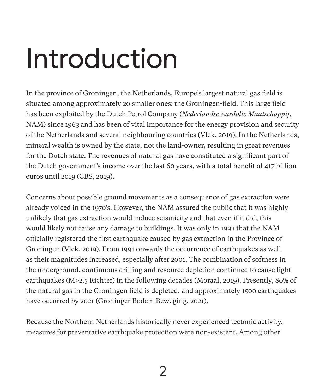## Introduction

In the province of Groningen, the Netherlands, Europe's largest natural gas field is situated among approximately 20 smaller ones: the Groningen-field. This large field has been exploited by the Dutch Petrol Company (*Nederlandse Aardolie Maatschappij*, NAM) since 1963 and has been of vital importance for the energy provision and security of the Netherlands and several neighbouring countries (Vlek, 2019). In the Netherlands, mineral wealth is owned by the state, not the land-owner, resulting in great revenues for the Dutch state. The revenues of natural gas have constituted a significant part of the Dutch government's income over the last 60 years, with a total benefit of 417 billion euros until 2019 (CBS, 2019).

Concerns about possible ground movements as a consequence of gas extraction were already voiced in the 1970's. However, the NAM assured the public that it was highly unlikely that gas extraction would induce seismicity and that even if it did, this would likely not cause any damage to buildings. It was only in 1993 that the NAM officially registered the first earthquake caused by gas extraction in the Province of Groningen (Vlek, 2019). From 1991 onwards the occurrence of earthquakes as well as their magnitudes increased, especially after 2001. The combination of softness in the underground, continuous drilling and resource depletion continued to cause light earthquakes (M>2.5 Richter) in the following decades (Moraal, 2019). Presently, 80% of the natural gas in the Groningen field is depleted, and approximately 1500 earthquakes have occurred by 2021 (Groninger Bodem Beweging, 2021).

Because the Northern Netherlands historically never experienced tectonic activity, measures for preventative earthquake protection were non-existent. Among other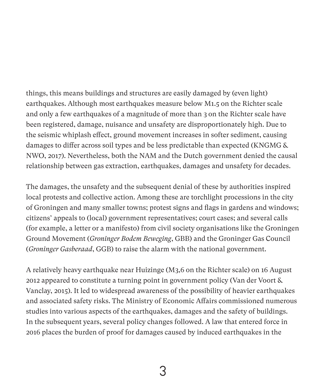things, this means buildings and structures are easily damaged by (even light) earthquakes. Although most earthquakes measure below M1.5 on the Richter scale and only a few earthquakes of a magnitude of more than 3 on the Richter scale have been registered, damage, nuisance and unsafety are disproportionately high. Due to the seismic whiplash effect, ground movement increases in softer sediment, causing damages to differ across soil types and be less predictable than expected (KNGMG & NWO, 2017). Nevertheless, both the NAM and the Dutch government denied the causal relationship between gas extraction, earthquakes, damages and unsafety for decades.

The damages, the unsafety and the subsequent denial of these by authorities inspired local protests and collective action. Among these are torchlight processions in the city of Groningen and many smaller towns; protest signs and flags in gardens and windows; citizens' appeals to (local) government representatives; court cases; and several calls (for example, a letter or a manifesto) from civil society organisations like the Groningen Ground Movement (*Groninger Bodem Beweging*, GBB) and the Groninger Gas Council (*Groninger Gasberaad*, GGB) to raise the alarm with the national government.

A relatively heavy earthquake near Huizinge (M3,6 on the Richter scale) on 16 August 2012 appeared to constitute a turning point in government policy (Van der Voort & Vanclay, 2015). It led to widespread awareness of the possibility of heavier earthquakes and associated safety risks. The Ministry of Economic Affairs commissioned numerous studies into various aspects of the earthquakes, damages and the safety of buildings. In the subsequent years, several policy changes followed. A law that entered force in 2016 places the burden of proof for damages caused by induced earthquakes in the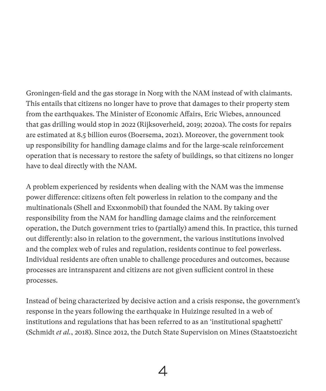Groningen-field and the gas storage in Norg with the NAM instead of with claimants. This entails that citizens no longer have to prove that damages to their property stem from the earthquakes. The Minister of Economic Affairs, Eric Wiebes, announced that gas drilling would stop in 2022 (Rijksoverheid, 2019; 2020a). The costs for repairs are estimated at 8.5 billion euros (Boersema, 2021). Moreover, the government took up responsibility for handling damage claims and for the large-scale reinforcement operation that is necessary to restore the safety of buildings, so that citizens no longer have to deal directly with the NAM.

A problem experienced by residents when dealing with the NAM was the immense power difference: citizens often felt powerless in relation to the company and the multinationals (Shell and Exxonmobil) that founded the NAM. By taking over responsibility from the NAM for handling damage claims and the reinforcement operation, the Dutch government tries to (partially) amend this. In practice, this turned out differently: also in relation to the government, the various institutions involved and the complex web of rules and regulation, residents continue to feel powerless. Individual residents are often unable to challenge procedures and outcomes, because processes are intransparent and citizens are not given sufficient control in these processes.

Instead of being characterized by decisive action and a crisis response, the government's response in the years following the earthquake in Huizinge resulted in a web of institutions and regulations that has been referred to as an 'institutional spaghetti' (Schmidt *et al.*, 2018). Since 2012, the Dutch State Supervision on Mines (Staatstoezicht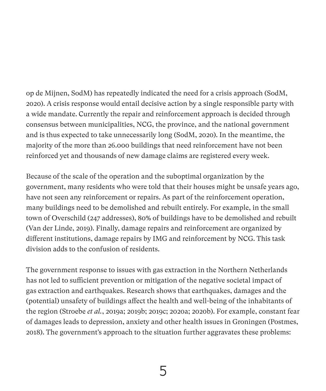op de Mijnen, SodM) has repeatedly indicated the need for a crisis approach (SodM, 2020). A crisis response would entail decisive action by a single responsible party with a wide mandate. Currently the repair and reinforcement approach is decided through consensus between municipalities, NCG, the province, and the national government and is thus expected to take unnecessarily long (SodM, 2020). In the meantime, the majority of the more than 26.000 buildings that need reinforcement have not been reinforced yet and thousands of new damage claims are registered every week.

Because of the scale of the operation and the suboptimal organization by the government, many residents who were told that their houses might be unsafe years ago, have not seen any reinforcement or repairs. As part of the reinforcement operation, many buildings need to be demolished and rebuilt entirely. For example, in the small town of Overschild (247 addresses), 80% of buildings have to be demolished and rebuilt (Van der Linde, 2019). Finally, damage repairs and reinforcement are organized by different institutions, damage repairs by IMG and reinforcement by NCG. This task division adds to the confusion of residents.

The government response to issues with gas extraction in the Northern Netherlands has not led to sufficient prevention or mitigation of the negative societal impact of gas extraction and earthquakes. Research shows that earthquakes, damages and the (potential) unsafety of buildings affect the health and well-being of the inhabitants of the region (Stroebe *et al.*, 2019a; 2019b; 2019c; 2020a; 2020b). For example, constant fear of damages leads to depression, anxiety and other health issues in Groningen (Postmes, 2018). The government's approach to the situation further aggravates these problems: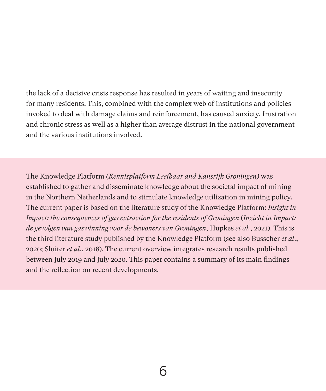the lack of a decisive crisis response has resulted in years of waiting and insecurity for many residents. This, combined with the complex web of institutions and policies invoked to deal with damage claims and reinforcement, has caused anxiety, frustration and chronic stress as well as a higher than average distrust in the national government and the various institutions involved.

The Knowledge Platform *(Kennisplatform Leefbaar and Kansrijk Groningen)* was established to gather and disseminate knowledge about the societal impact of mining in the Northern Netherlands and to stimulate knowledge utilization in mining policy. The current paper is based on the literature study of the Knowledge Platform: *Insight in Impact: the consequences of gas extraction for the residents of Groningen* (*Inzicht in Impact: de gevolgen van gaswinning voor de bewoners van Groningen*, Hupkes *et al.*, 2021). This is the third literature study published by the Knowledge Platform (see also Busscher *et al*., 2020; Sluiter *et al*., 2018). The current overview integrates research results published between July 2019 and July 2020. This paper contains a summary of its main findings and the reflection on recent developments.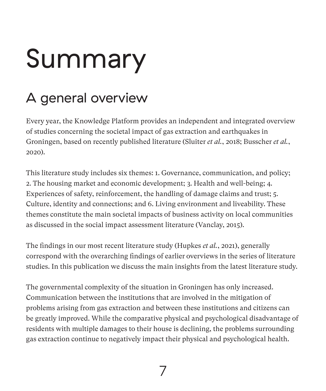## Summary

## A general overview

Every year, the Knowledge Platform provides an independent and integrated overview of studies concerning the societal impact of gas extraction and earthquakes in Groningen, based on recently published literature (Sluiter *et al.*, 2018; Busscher *et al.*, 2020).

This literature study includes six themes: 1. Governance, communication, and policy; 2. The housing market and economic development; 3. Health and well-being; 4. Experiences of safety, reinforcement, the handling of damage claims and trust; 5. Culture, identity and connections; and 6. Living environment and liveability. These themes constitute the main societal impacts of business activity on local communities as discussed in the social impact assessment literature (Vanclay, 2015).

The findings in our most recent literature study (Hupkes *et al.*, 2021), generally correspond with the overarching findings of earlier overviews in the series of literature studies. In this publication we discuss the main insights from the latest literature study.

The governmental complexity of the situation in Groningen has only increased. Communication between the institutions that are involved in the mitigation of problems arising from gas extraction and between these institutions and citizens can be greatly improved. While the comparative physical and psychological disadvantage of residents with multiple damages to their house is declining, the problems surrounding gas extraction continue to negatively impact their physical and psychological health.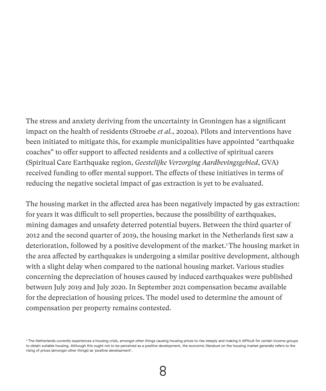The stress and anxiety deriving from the uncertainty in Groningen has a significant impact on the health of residents (Stroebe *et al.*, 2020a). Pilots and interventions have been initiated to mitigate this, for example municipalities have appointed "earthquake coaches" to offer support to affected residents and a collective of spiritual carers (Spiritual Care Earthquake region, *Geestelijke Verzorging Aardbevingsgebied*, GVA) received funding to offer mental support. The effects of these initiatives in terms of reducing the negative societal impact of gas extraction is yet to be evaluated.

The housing market in the affected area has been negatively impacted by gas extraction: for years it was difficult to sell properties, because the possibility of earthquakes, mining damages and unsafety deterred potential buyers. Between the third quarter of 2012 and the second quarter of 2019, the housing market in the Netherlands first saw a deterioration, followed by a positive development of the market.<sup>1</sup> The housing market in the area affected by earthquakes is undergoing a similar positive development, although with a slight delay when compared to the national housing market. Various studies concerning the depreciation of houses caused by induced earthquakes were published between July 2019 and July 2020. In September 2021 compensation became available for the depreciation of housing prices. The model used to determine the amount of compensation per property remains contested.

<sup>1</sup> The Netherlands currently experiences a housing crisis, amongst other things causing housing prices to rise steeply and making it difficult for certain income groups to obtain suitable housing. Although this ought not to be perceived as a positive development, the economic literature on the housing market generally refers to the rising of prices (amongst other things) as 'positive development'.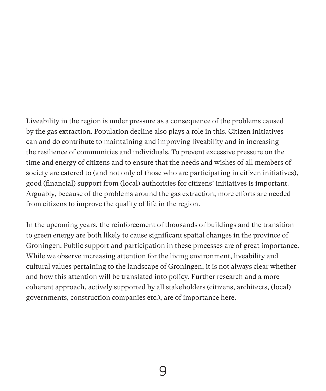Liveability in the region is under pressure as a consequence of the problems caused by the gas extraction. Population decline also plays a role in this. Citizen initiatives can and do contribute to maintaining and improving liveability and in increasing the resilience of communities and individuals. To prevent excessive pressure on the time and energy of citizens and to ensure that the needs and wishes of all members of society are catered to (and not only of those who are participating in citizen initiatives), good (financial) support from (local) authorities for citizens' initiatives is important. Arguably, because of the problems around the gas extraction, more efforts are needed from citizens to improve the quality of life in the region.

In the upcoming years, the reinforcement of thousands of buildings and the transition to green energy are both likely to cause significant spatial changes in the province of Groningen. Public support and participation in these processes are of great importance. While we observe increasing attention for the living environment, liveability and cultural values pertaining to the landscape of Groningen, it is not always clear whether and how this attention will be translated into policy. Further research and a more coherent approach, actively supported by all stakeholders (citizens, architects, (local) governments, construction companies etc.), are of importance here.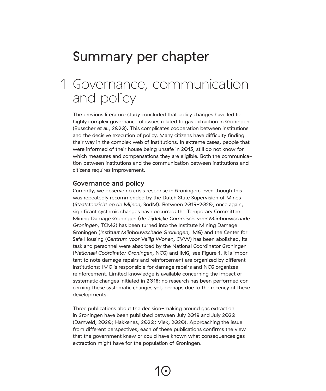## Summary per chapter

## Governance, communication 1and policy

The previous literature study concluded that policy changes have led to highly complex governance of issues related to gas extraction in Groningen (Busscher *et al.*, 2020). This complicates cooperation between institutions and the decisive execution of policy. Many citizens have difficulty finding their way in the complex web of institutions. In extreme cases, people that were informed of their house being unsafe in 2015, still do not know for which measures and compensations they are eligible. Both the communication between institutions and the communication between institutions and citizens requires improvement.

#### Governance and policy

Currently, we observe no crisis response in Groningen, even though this was repeatedly recommended by the Dutch State Supervision of Mines (*Staatstoezicht op de Mijnen*, SodM). Between 2019-2020, once again, significant systemic changes have occurred: the Temporary Committee Mining Damage Groningen (*de Tijdelijke Commissie voor Mijnbouwschade Groningen*, TCMG) has been turned into the Institute Mining Damage Groningen (*Instituut Mijnbouwschade Groningen*, IMG) and the Center for Safe Housing (*Centrum voor Veilig Wonen*, CVW) has been abolished, its task and personnel were absorbed by the National Coordinator Groningen (*Nationaal Coördinator Groningen*, NCG) and IMG, see Figure 1. It is important to note damage repairs and reinforcement are organized by different institutions; IMG is responsible for damage repairs and NCG organizes reinforcement. Limited knowledge is available concerning the impact of systematic changes initiated in 2018: no research has been performed concerning these systematic changes yet, perhaps due to the recency of these developments.

Three publications about the decision-making around gas extraction in Groningen have been published between July 2019 and July 2020 (Damveld, 2020; Hakkenes, 2020; Vlek, 2020). Approaching the issue from different perspectives, each of these publications confirms the view that the government knew or could have known what consequences gas extraction might have for the population of Groningen.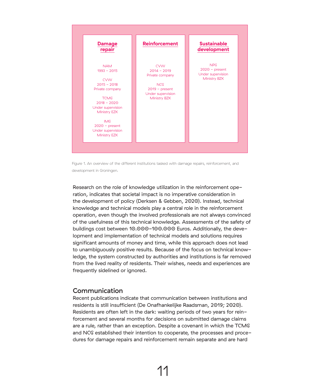

Figure 1. An overview of the different institutions tasked with damage repairs, reinforcement, and development in Groningen.

Research on the role of knowledge utilization in the reinforcement operation, indicates that societal impact is no imperative consideration in the development of policy (Derksen & Gebben, 2020). Instead, technical knowledge and technical models play a central role in the reinforcement operation, even though the involved professionals are not always convinced of the usefulness of this technical knowledge. Assessments of the safety of buildings cost between 10.000-100.000 Euros. Additionally, the development and implementation of technical models and solutions requires significant amounts of money and time, while this approach does not lead to unambiguously positive results. Because of the focus on technical knowledge, the system constructed by authorities and institutions is far removed from the lived reality of residents. Their wishes, needs and experiences are frequently sidelined or ignored.

#### Communication

Recent publications indicate that communication between institutions and residents is still insufficient (De Onafhankelijke Raadsman, 2019; 2020). Residents are often left in the dark: waiting periods of two years for reinforcement and several months for decisions on submitted damage claims are a rule, rather than an exception. Despite a covenant in which the TCMG and NCG established their intention to cooperate, the processes and procedures for damage repairs and reinforcement remain separate and are hard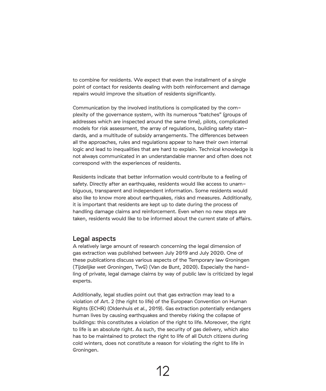to combine for residents. We expect that even the installment of a single point of contact for residents dealing with both reinforcement and damage repairs would improve the situation of residents significantly.

Communication by the involved institutions is complicated by the complexity of the governance system, with its numerous "batches" (groups of addresses which are inspected around the same time), pilots, complicated models for risk assessment, the array of regulations, building safety standards, and a multitude of subsidy arrangements. The differences between all the approaches, rules and regulations appear to have their own internal logic and lead to inequalities that are hard to explain. Technical knowledge is not always communicated in an understandable manner and often does not correspond with the experiences of residents.

Residents indicate that better information would contribute to a feeling of safety. Directly after an earthquake, residents would like access to unambiguous, transparent and independent information. Some residents would also like to know more about earthquakes, risks and measures. Additionally, it is important that residents are kept up to date during the process of handling damage claims and reinforcement. Even when no new steps are taken, residents would like to be informed about the current state of affairs.

#### Legal aspects

A relatively large amount of research concerning the legal dimension of gas extraction was published between July 2019 and July 2020. One of these publications discuss various aspects of the Temporary law Groningen (*Tijdelijke wet Groningen*, TwG) (Van de Bunt, 2020). Especially the handling of private, legal damage claims by way of public law is criticized by legal experts.

Additionally, legal studies point out that gas extraction may lead to a violation of Art. 2 (the right to life) of the European Convention on Human Rights (ECHR) (Oldenhuis *et al.*, 2019). Gas extraction potentially endangers human lives by causing earthquakes and thereby risking the collapse of buildings: this constitutes a violation of the right to life. Moreover, the right to life is an absolute right. As such, the security of gas delivery, which also has to be maintained to protect the right to life of all Dutch citizens during cold winters, does not constitute a reason for violating the right to life in Groningen.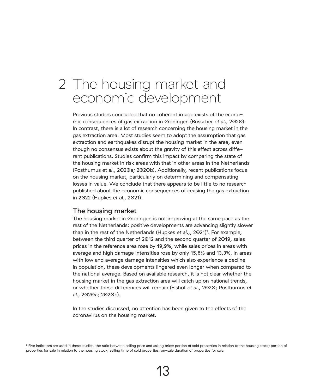### 2 The housing market and economic development

Previous studies concluded that no coherent image exists of the economic consequences of gas extraction in Groningen (Busscher *et al.*, 2020). In contrast, there is a lot of research concerning the housing market in the gas extraction area. Most studies seem to adopt the assumption that gas extraction and earthquakes disrupt the housing market in the area, even though no consensus exists about the gravity of this effect across different publications. Studies confirm this impact by comparing the state of the housing market in risk areas with that in other areas in the Netherlands (Posthumus *et al.*, 2020a; 2020b). Additionally, recent publications focus on the housing market, particularly on determining and compensating losses in value. We conclude that there appears to be little to no research published about the economic consequences of ceasing the gas extraction in 2022 (Hupkes *et al.*, 2021).

#### The housing market

The housing market in Groningen is not improving at the same pace as the rest of the Netherlands: positive developments are advancing slightly slower than in the rest of the Netherlands (Hupkes *et al.,,* 2021)<sup>2</sup>. For example, between the third quarter of 2012 and the second quarter of 2019, sales prices in the reference area rose by 19,9%, while sales prices in areas with average and high damage intensities rose by only 15,6% and 13,3%. In areas with low and average damage intensities which also experience a decline in population, these developments lingered even longer when compared to the national average. Based on available research, it is not clear whether the housing market in the gas extraction area will catch up on national trends, or whether these differences will remain (Elshof *et al.*, 2020; Posthumus *et al.*, 2020a; 2020b).

In the studies discussed, no attention has been given to the effects of the coronavirus on the housing market.

<sup>2</sup> Five indicators are used in these studies: the ratio between selling price and asking price; portion of sold properties in relation to the housing stock; portion of properties for sale in relation to the housing stock; selling time of sold properties; on-sale duration of properties for sale.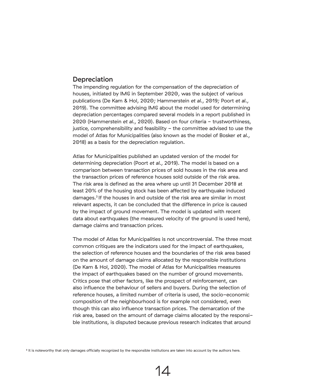#### **Depreciation**

The impending regulation for the compensation of the depreciation of houses, initiated by IMG in September 2020, was the subject of various publications (De Kam & Hol, 2020; Hammerstein *et al.*, 2019; Poort *et al.*, 2019). The committee advising IMG about the model used for determining depreciation percentages compared several models in a report published in 2020 (Hammerstein *et al.*, 2020). Based on four criteria - trustworthiness, justice, comprehensibility and feasibility - the committee advised to use the model of Atlas for Municipalities (also known as the model of Bosker *et al.*, 2018) as a basis for the depreciation regulation.

Atlas for Municipalities published an updated version of the model for determining depreciation (Poort *et al.*, 2019). The model is based on a comparison between transaction prices of sold houses in the risk area and the transaction prices of reference houses sold outside of the risk area. The risk area is defined as the area where up until 31 December 2018 at least 20% of the housing stock has been affected by earthquake induced damages.3 If the houses in and outside of the risk area are similar in most relevant aspects, it can be concluded that the difference in price is caused by the impact of ground movement. The model is updated with recent data about earthquakes (the measured velocity of the ground is used here), damage claims and transaction prices.

The model of Atlas for Municipalities is not uncontroversial. The three most common critiques are the indicators used for the impact of earthquakes, the selection of reference houses and the boundaries of the risk area based on the amount of damage claims allocated by the responsible institutions (De Kam & Hol, 2020). The model of Atlas for Municipalities measures the impact of earthquakes based on the number of ground movements. Critics pose that other factors, like the prospect of reinforcement, can also influence the behaviour of sellers and buyers. During the selection of reference houses, a limited number of criteria is used, the socio-economic composition of the neighbourhood is for example not considered, even though this can also influence transaction prices. The demarcation of the risk area, based on the amount of damage claims allocated by the responsible institutions, is disputed because previous research indicates that around

<sup>3</sup> It is noteworthy that only damages officially recognized by the responsible institutions are taken into account by the authors here.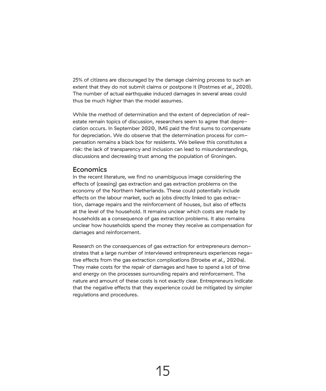25% of citizens are discouraged by the damage claiming process to such an extent that they do not submit claims or postpone it (Postmes *et al.*, 2020). The number of actual earthquake induced damages in several areas could thus be much higher than the model assumes.

While the method of determination and the extent of depreciation of realestate remain topics of discussion, researchers seem to agree that depreciation occurs. In September 2020, IMG paid the first sums to compensate for depreciation. We do observe that the determination process for compensation remains a black box for residents. We believe this constitutes a risk: the lack of transparency and inclusion can lead to misunderstandings, discussions and decreasing trust among the population of Groningen.

#### **Economics**

In the recent literature, we find no unambiguous image considering the effects of (ceasing) gas extraction and gas extraction problems on the economy of the Northern Netherlands. These could potentially include effects on the labour market, such as jobs directly linked to gas extraction, damage repairs and the reinforcement of houses, but also of effects at the level of the household. It remains unclear which costs are made by households as a consequence of gas extraction problems. It also remains unclear how households spend the money they receive as compensation for damages and reinforcement.

Research on the consequences of gas extraction for entrepreneurs demonstrates that a large number of interviewed entrepreneurs experiences negative effects from the gas extraction complications (Stroebe *et al.*, 2020a). They make costs for the repair of damages and have to spend a lot of time and energy on the processes surrounding repairs and reinforcement. The nature and amount of these costs is not exactly clear. Entrepreneurs indicate that the negative effects that they experience could be mitigated by simpler regulations and procedures.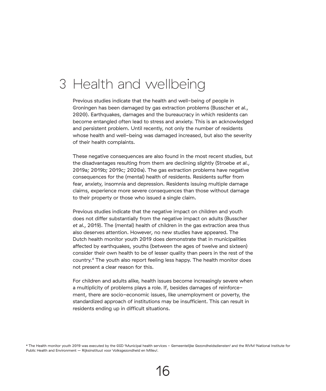## 3 Health and wellbeing

Previous studies indicate that the health and well-being of people in Groningen has been damaged by gas extraction problems (Busscher *et al.*, 2020). Earthquakes, damages and the bureaucracy in which residents can become entangled often lead to stress and anxiety. This is an acknowledged and persistent problem. Until recently, not only the number of residents whose health and well-being was damaged increased, but also the severity of their health complaints.

These negative consequences are also found in the most recent studies, but the disadvantages resulting from them are declining slightly (Stroebe *et al.*, 2019a; 2019b; 2019c; 2020a). The gas extraction problems have negative consequences for the (mental) health of residents. Residents suffer from fear, anxiety, insomnia and depression. Residents issuing multiple damage claims, experience more severe consequences than those without damage to their property or those who issued a single claim.

Previous studies indicate that the negative impact on children and youth does not differ substantially from the negative impact on adults (Busscher *et al.*, 2019). The (mental) health of children in the gas extraction area thus also deserves attention. However, no new studies have appeared. The Dutch health monitor youth 2019 does demonstrate that in municipalities affected by earthquakes, youths (between the ages of twelve and sixteen) consider their own health to be of lesser quality than peers in the rest of the country.4 The youth also report feeling less happy. The health monitor does not present a clear reason for this.

For children and adults alike, health issues become increasingly severe when a multiplicity of problems plays a role. If, besides damages of reinforcement, there are socio-economic issues, like unemployment or poverty, the standardized approach of institutions may be insufficient. This can result in residents ending up in difficult situations.

4 The Health monitor youth 2019 was executed by the GGD (Municipal health services - Gemeentelijke Gezondheidsdiensten) and the RIVM (National Institute for Public Health and Environment – Rijksinstituut voor Volksgezondheid en Milieu).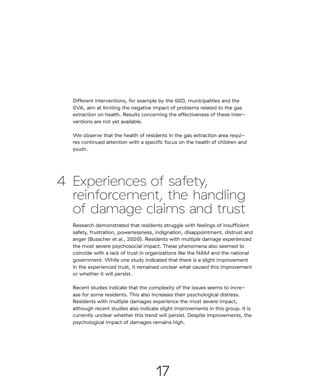Different interventions, for example by the GGD, municipalities and the GVA, aim at limiting the negative impact of problems related to the gas extraction on health. Results concerning the effectiveness of these interventions are not yet available.

We observe that the health of residents in the gas extraction area requires continued attention with a specific focus on the health of children and youth.

## 4 Experiences of safety, reinforcement, the handling of damage claims and trust

Research demonstrated that residents struggle with feelings of insufficient safety, frustration, powerlessness, indignation, disappointment, distrust and anger (Busscher *et al.*, 2020). Residents with multiple damage experienced the most severe psychosocial impact. These phenomena also seemed to coincide with a lack of trust in organizations like the NAM and the national government. While one study indicated that there is a slight improvement in the experienced trust, it remained unclear what caused this improvement or whether it will persist.

Recent studies indicate that the complexity of the issues seems to increase for some residents. This also increases their psychological distress. Residents with multiple damages experience the most severe impact, although recent studies also indicate slight improvements in this group. It is currently unclear whether this trend will persist. Despite improvements, the psychological impact of damages remains high.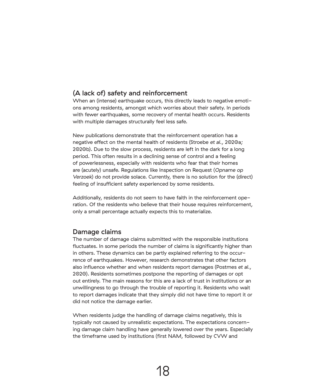#### (A lack of) safety and reinforcement

When an (intense) earthquake occurs, this directly leads to negative emotions among residents, amongst which worries about their safety. In periods with fewer earthquakes, some recovery of mental health occurs. Residents with multiple damages structurally feel less safe.

New publications demonstrate that the reinforcement operation has a negative effect on the mental health of residents (Stroebe *et al.*, 2020a; 2020b). Due to the slow process, residents are left in the dark for a long period. This often results in a declining sense of control and a feeling of powerlessness, especially with residents who fear that their homes are (acutely) unsafe. Regulations like Inspection on Request (*Opname op Verzoek*) do not provide solace. Currently, there is no solution for the (direct) feeling of insufficient safety experienced by some residents.

Additionally, residents do not seem to have faith in the reinforcement operation. Of the residents who believe that their house requires reinforcement, only a small percentage actually expects this to materialize.

#### Damage claims

The number of damage claims submitted with the responsible institutions fluctuates. In some periods the number of claims is significantly higher than in others. These dynamics can be partly explained referring to the occurrence of earthquakes. However, research demonstrates that other factors also influence whether and when residents report damages (Postmes *et al.*, 2020). Residents sometimes postpone the reporting of damages or opt out entirely. The main reasons for this are a lack of trust in institutions or an unwillingness to go through the trouble of reporting it. Residents who wait to report damages indicate that they simply did not have time to report it or did not notice the damage earlier.

When residents judge the handling of damage claims negatively, this is typically not caused by unrealistic expectations. The expectations concerning damage claim handling have generally lowered over the years. Especially the timeframe used by institutions (first NAM, followed by CVW and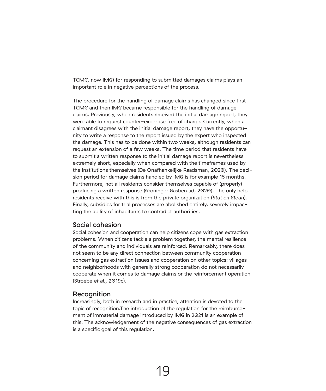TCMG, now IMG) for responding to submitted damages claims plays an important role in negative perceptions of the process.

The procedure for the handling of damage claims has changed since first TCMG and then IMG became responsible for the handling of damage claims. Previously, when residents received the initial damage report, they were able to request counter-expertise free of charge. Currently, when a claimant disagrees with the initial damage report, they have the opportunity to write a response to the report issued by the expert who inspected the damage. This has to be done within two weeks, although residents can request an extension of a few weeks. The time period that residents have to submit a written response to the initial damage report is nevertheless extremely short, especially when compared with the timeframes used by the institutions themselves (De Onafhankelijke Raadsman, 2020). The decision period for damage claims handled by IMG is for example 15 months. Furthermore, not all residents consider themselves capable of (properly) producing a written response (Groninger Gasberaad, 2020). The only help residents receive with this is from the private organization (*Stut en Steun*). Finally, subsidies for trial processes are abolished entirely, severely impacting the ability of inhabitants to contradict authorities.

#### Social cohesion

Social cohesion and cooperation can help citizens cope with gas extraction problems. When citizens tackle a problem together, the mental resilience of the community and individuals are reinforced. Remarkably, there does not seem to be any direct connection between community cooperation concerning gas extraction issues and cooperation on other topics: villages and neighborhoods with generally strong cooperation do not necessarily cooperate when it comes to damage claims or the reinforcement operation (Stroebe *et al.*, 2019c).

#### **Recognition**

Increasingly, both in research and in practice, attention is devoted to the topic of recognition.The introduction of the regulation for the reimbursement of immaterial damage introduced by IMG in 2021 is an example of this. The acknowledgement of the negative consequences of gas extraction is a specific goal of this regulation.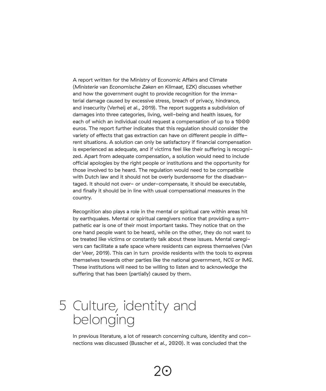A report written for the Ministry of Economic Affairs and Climate (*Ministerie van Economische Zaken en Klimaat*, EZK) discusses whether and how the government ought to provide recognition for the immaterial damage caused by excessive stress, breach of privacy, hindrance, and insecurity (Verheij *et al.*, 2019). The report suggests a subdivision of damages into three categories, living, well-being and health issues, for each of which an individual could request a compensation of up to a 1000 euros. The report further indicates that this regulation should consider the variety of effects that gas extraction can have on different people in different situations. A solution can only be satisfactory if financial compensation is experienced as adequate, and if victims feel like their suffering is recognized. Apart from adequate compensation, a solution would need to include official apologies by the right people or institutions and the opportunity for those involved to be heard. The regulation would need to be compatible with Dutch law and it should not be overly burdensome for the disadvantaged. It should not over- or under-compensate, it should be executable, and finally it should be in line with usual compensational measures in the country.

Recognition also plays a role in the mental or spiritual care within areas hit by earthquakes. Mental or spiritual caregivers notice that providing a sympathetic ear is one of their most important tasks. They notice that on the one hand people want to be heard, while on the other, they do not want to be treated like victims or constantly talk about these issues. Mental caregivers can facilitate a safe space where residents can express themselves (Van der Veer, 2019). This can in turn provide residents with the tools to express themselves towards other parties like the national government, NCG or IMG. These institutions will need to be willing to listen and to acknowledge the suffering that has been (partially) caused by them.

## 5 Culture, identity and belonging

In previous literature, a lot of research concerning culture, identity and connections was discussed (Busscher *et al.*, 2020). It was concluded that the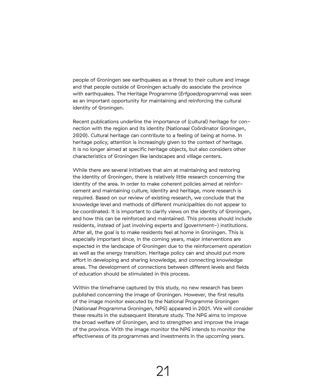people of Groningen see earthquakes as a threat to their culture and image and that people outside of Groningen actually do associate the province with earthquakes. The Heritage Programme (*Erfgoedprogramma*) was seen as an important opportunity for maintaining and reinforcing the cultural identity of Groningen.

Recent publications underline the importance of (cultural) heritage for connection with the region and its identity (Nationaal Coördinator Groningen, 2020). Cultural heritage can contribute to a feeling of being at home. In heritage policy, attention is increasingly given to the context of heritage. It is no longer aimed at specific heritage objects, but also considers other characteristics of Groningen like landscapes and village centers.

While there are several initiatives that aim at maintaining and restoring the identity of Groningen, there is relatively little research concerning the identity of the area. In order to make coherent policies aimed at reinforcement and maintaining culture, identity and heritage, more research is required. Based on our review of existing research, we conclude that the knowledge level and methods of different municipalities do not appear to be coordinated. It is important to clarify views on the identity of Groningen, and how this can be reinforced and maintained. This process should include residents, instead of just involving experts and (government-) institutions. After all, the goal is to make residents feel at home in Groningen. This is especially important since, in the coming years, major interventions are expected in the landscape of Groningen due to the reinforcement operation as well as the energy transition. Heritage policy can and should put more effort in developing and sharing knowledge, and connecting knowledge areas. The development of connections between different levels and fields of education should be stimulated in this process.

Within the timeframe captured by this study, no new research has been published concerning the image of Groningen. However, the first results of the image monitor executed by the National Programme Groningen (*Nationaal Programma Groningen*, NPG) appeared in 2021. We will consider these results in the subsequent literature study. The NPG aims to improve the broad welfare of Groningen, and to strengthen and improve the image of the province. With the image monitor the NPG intends to monitor the effectiveness of its programmes and investments in the upcoming years.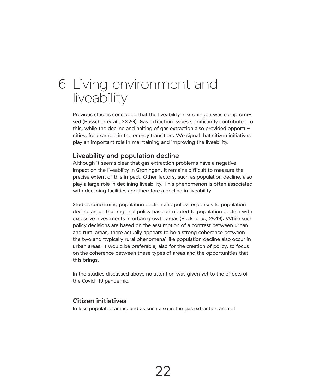## 6 Living environment and liveability

Previous studies concluded that the liveability in Groningen was compromised (Busscher *et al.*, 2020). Gas extraction issues significantly contributed to this, while the decline and halting of gas extraction also provided opportunities, for example in the energy transition. We signal that citizen initiatives play an important role in maintaining and improving the liveability.

#### Liveability and population decline

Although it seems clear that gas extraction problems have a negative impact on the liveability in Groningen, it remains difficult to measure the precise extent of this impact. Other factors, such as population decline, also play a large role in declining liveability. This phenomenon is often associated with declining facilities and therefore a decline in liveability.

Studies concerning population decline and policy responses to population decline argue that regional policy has contributed to population decline with excessive investments in urban growth areas (Bock *et al.*, 2019). While such policy decisions are based on the assumption of a contrast between urban and rural areas, there actually appears to be a strong coherence between the two and 'typically rural phenomena' like population decline also occur in urban areas. It would be preferable, also for the creation of policy, to focus on the coherence between these types of areas and the opportunities that this brings.

In the studies discussed above no attention was given yet to the effects of the Covid-19 pandemic.

#### Citizen initiatives

In less populated areas, and as such also in the gas extraction area of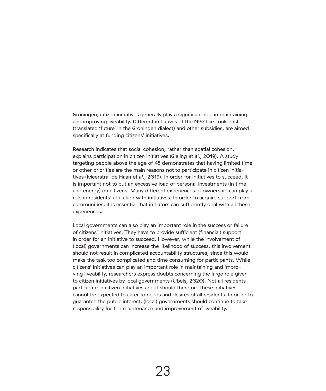Groningen, citizen initiatives generally play a significant role in maintaining and improving liveability. Different initiatives of the NPG like Toukomst (translated 'future' in the Groningen dialect) and other subsidies, are aimed specifically at funding citizens' initiatives.

Research indicates that social cohesion, rather than spatial cohesion, explains participation in citizen initiatives (Gieling *et al.*, 2019). A study targeting people above the age of 45 demonstrates that having limited time or other priorities are the main reasons not to participate in citizen initiatives (Meerstra-de Haan *et al.*, 2019). In order for initiatives to succeed, it is important not to put an excessive load of personal investments (in time and energy) on citizens. Many different experiences of ownership can play a role in residents' affiliation with initiatives. In order to acquire support from communities, it is essential that initiators can sufficiently deal with all these experiences.

Local governments can also play an important role in the success or failure of citizens' initiatives. They have to provide sufficient (financial) support in order for an initiative to succeed. However, while the involvement of (local) governments can increase the likelihood of success, this involvement should not result in complicated accountability structures, since this would make the task too complicated and time consuming for participants. While citizens' initiatives can play an important role in maintaining and improving liveability, researchers express doubts concerning the large role given to citizen initiatives by local governments (Ubels, 2020). Not all residents participate in citizen initiatives and it should therefore these initiatives cannot be expected to cater to needs and desires of all residents. In order to guarantee the public interest, (local) governments should continue to take responsibility for the maintenance and improvement of liveability.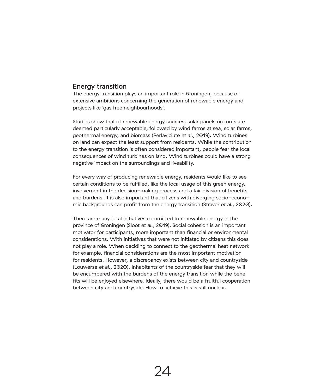#### Energy transition

The energy transition plays an important role in Groningen, because of extensive ambitions concerning the generation of renewable energy and projects like 'gas free neighbourhoods'.

Studies show that of renewable energy sources, solar panels on roofs are deemed particularly acceptable, followed by wind farms at sea, solar farms, geothermal energy, and biomass (Perlaviciute *et al.*, 2019). Wind turbines on land can expect the least support from residents. While the contribution to the energy transition is often considered important, people fear the local consequences of wind turbines on land. Wind turbines could have a strong negative impact on the surroundings and liveability.

For every way of producing renewable energy, residents would like to see certain conditions to be fulfilled, like the local usage of this green energy, involvement in the decision-making process and a fair division of benefits and burdens. It is also important that citizens with diverging socio-economic backgrounds can profit from the energy transition (Straver *et al.*, 2020).

There are many local initiatives committed to renewable energy in the province of Groningen (Sloot *et al.*, 2019). Social cohesion is an important motivator for participants, more important than financial or environmental considerations. With initiatives that were not initiated by citizens this does not play a role. When deciding to connect to the geothermal heat network for example, financial considerations are the most important motivation for residents. However, a discrepancy exists between city and countryside (Louwerse *et al.*, 2020). Inhabitants of the countryside fear that they will be encumbered with the burdens of the energy transition while the benefits will be enjoyed elsewhere. Ideally, there would be a fruitful cooperation between city and countryside. How to achieve this is still unclear.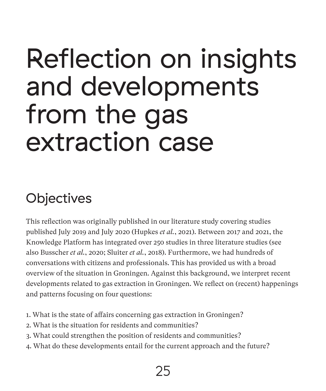## Reflection on insights and developments from the gas extraction case

## **Objectives**

This reflection was originally published in our literature study covering studies published July 2019 and July 2020 (Hupkes *et al.*, 2021). Between 2017 and 2021, the Knowledge Platform has integrated over 250 studies in three literature studies (see also Busscher *et al.*, 2020; Sluiter *et al.*, 2018). Furthermore, we had hundreds of conversations with citizens and professionals. This has provided us with a broad overview of the situation in Groningen. Against this background, we interpret recent developments related to gas extraction in Groningen. We reflect on (recent) happenings and patterns focusing on four questions:

- 1. What is the state of affairs concerning gas extraction in Groningen?
- 2. What is the situation for residents and communities?
- 3. What could strengthen the position of residents and communities?
- 4. What do these developments entail for the current approach and the future?

## 25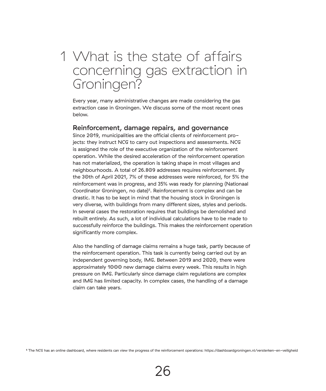## What is the state of affairs 1 concerning gas extraction in Groningen?

Every year, many administrative changes are made considering the gas extraction case in Groningen. We discuss some of the most recent ones below.

#### Reinforcement, damage repairs, and governance

Since 2019, municipalities are the official clients of reinforcement projects: they instruct NCG to carry out inspections and assessments. NCG is assigned the role of the executive organization of the reinforcement operation. While the desired acceleration of the reinforcement operation has not materialized, the operation is taking shape in most villages and neighbourhoods. A total of 26.809 addresses requires reinforcement. By the 30th of April 2021, 7% of these addresses were reinforced, for 5% the reinforcement was in progress, and 35% was ready for planning (Nationaal Coordinator Groningen, no date)<sup>5</sup>. Reinforcement is complex and can be drastic. It has to be kept in mind that the housing stock in Groningen is very diverse, with buildings from many different sizes, styles and periods. In several cases the restoration requires that buildings be demolished and rebuilt entirely. As such, a lot of individual calculations have to be made to successfully reinforce the buildings. This makes the reinforcement operation significantly more complex.

Also the handling of damage claims remains a huge task, partly because of the reinforcement operation. This task is currently being carried out by an independent governing body, IMG. Between 2019 and 2020, there were approximately 1000 new damage claims every week. This results in high pressure on IMG. Particularly since damage claim regulations are complex and IMG has limited capacity. In complex cases, the handling of a damage claim can take years.

5 The NCG has an online dashboard, where residents can view the progress of the reinforcement operations: https://dashboardgroningen.nl/versterken-en-veiligheid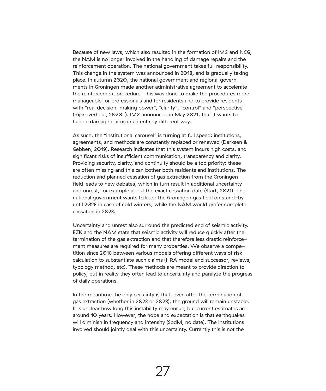Because of new laws, which also resulted in the formation of IMG and NCG, the NAM is no longer involved in the handling of damage repairs and the reinforcement operation. The national government takes full responsibility. This change in the system was announced in 2018, and is gradually taking place. In autumn 2020, the national government and regional governments in Groningen made another administrative agreement to accelerate the reinforcement procedure. This was done to make the procedures more manageable for professionals and for residents and to provide residents with "real decision-making power", "clarity", "control" and "perspective" (Rijksoverheid, 2020b). IMG announced in May 2021, that it wants to handle damage claims in an entirely different way.

As such, the "institutional carousel" is turning at full speed: institutions, agreements, and methods are constantly replaced or renewed (Derksen & Gebben, 2019). Research indicates that this system incurs high costs, and significant risks of insufficient communication, transparency and clarity. Providing security, clarity, and continuity should be a top priority: these are often missing and this can bother both residents and institutions. The reduction and planned cessation of gas extraction from the Groningen field leads to new debates, which in turn result in additional uncertainty and unrest, for example about the exact cessation date (Start, 2021). The national government wants to keep the Groningen gas field on stand-by until 2028 in case of cold winters, while the NAM would prefer complete cessation in 2023.

Uncertainty and unrest also surround the predicted end of seismic activity. EZK and the NAM state that seismic activity will reduce quickly after the termination of the gas extraction and that therefore less drastic reinforcement measures are required for many properties. We observe a competition since 2018 between various models offering different ways of risk calculation to substantiate such claims (HRA model and successor, reviews, typology method, etc). These methods are meant to provide direction to policy, but in reality they often lead to uncertainty and paralyze the progress of daily operations.

In the meantime the only certainty is that, even after the termination of gas extraction (whether in 2023 or 2028), the ground will remain unstable. It is unclear how long this instability may ensue, but current estimates are around 10 years. However, the hope and expectation is that earthquakes will diminish in frequency and intensity (SodM, no date). The institutions involved should jointly deal with this uncertainty. Currently this is not the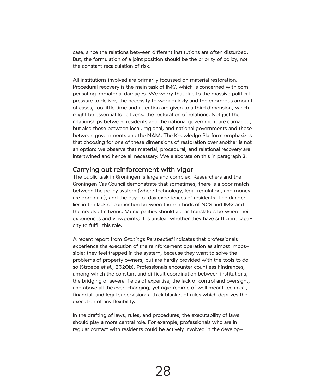case, since the relations between different institutions are often disturbed. But, the formulation of a joint position should be the priority of policy, not the constant recalculation of risk.

All institutions involved are primarily focussed on material restoration. Procedural recovery is the main task of IMG, which is concerned with compensating immaterial damages. We worry that due to the massive political pressure to deliver, the necessity to work quickly and the enormous amount of cases, too little time and attention are given to a third dimension, which might be essential for citizens: the restoration of relations. Not just the relationships between residents and the national government are damaged, but also those between local, regional, and national governments and those between governments and the NAM. The Knowledge Platform emphasizes that choosing for one of these dimensions of restoration over another is not an option: we observe that material, procedural, and relational recovery are intertwined and hence all necessary. We elaborate on this in paragraph 3.

#### Carrying out reinforcement with vigor

The public task in Groningen is large and complex. Researchers and the Groningen Gas Council demonstrate that sometimes, there is a poor match between the policy system (where technology, legal regulation, and money are dominant), and the day-to-day experiences of residents. The danger lies in the lack of connection between the methods of NCG and IMG and the needs of citizens. Municipalities should act as translators between their experiences and viewpoints; it is unclear whether they have sufficient capacity to fulfill this role.

A recent report from *Gronings Perspectief* indicates that professionals experience the execution of the reinforcement operation as almost impossible: they feel trapped in the system, because they want to solve the problems of property owners, but are hardly provided with the tools to do so (Stroebe *et al.*, 2020b). Professionals encounter countless hindrances, among which the constant and difficult coordination between institutions, the bridging of several fields of expertise, the lack of control and oversight, and above all the ever-changing, yet rigid regime of well meant technical, financial, and legal supervision: a thick blanket of rules which deprives the execution of any flexibility.

In the drafting of laws, rules, and procedures, the executability of laws should play a more central role. For example, professionals who are in regular contact with residents could be actively involved in the develop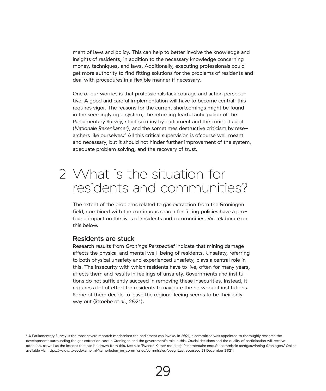ment of laws and policy. This can help to better involve the knowledge and insights of residents, in addition to the necessary knowledge concerning money, techniques, and laws. Additionally, executing professionals could get more authority to find fitting solutions for the problems of residents and deal with procedures in a flexible manner if necessary.

One of our worries is that professionals lack courage and action perspective. A good and careful implementation will have to become central: this requires vigor. The reasons for the current shortcomings might be found in the seemingly rigid system, the returning fearful anticipation of the Parliamentary Survey, strict scrutiny by parliament and the court of audit (*Nationale Rekenkamer*), and the sometimes destructive criticism by researchers like ourselves.6 All this critical supervision is ofcourse well meant and necessary, but it should not hinder further improvement of the system, adequate problem solving, and the recovery of trust.

## What is the situation for 2 residents and communities?

The extent of the problems related to gas extraction from the Groningen field, combined with the continuous search for fitting policies have a profound impact on the lives of residents and communities. We elaborate on this below.

#### Residents are stuck

Research results from *Gronings Perspectief* indicate that mining damage affects the physical and mental well-being of residents. Unsafety, referring to both physical unsafety and experienced unsafety, plays a central role in this. The insecurity with which residents have to live, often for many years, affects them and results in feelings of unsafety. Governments and institutions do not sufficiently succeed in removing these insecurities. Instead, it requires a lot of effort for residents to navigate the network of institutions. Some of them decide to leave the region: fleeing seems to be their only way out (Stroebe *et al.*, 2021).

<sup>6</sup> A Parliamentary Survey is the most severe research mechanism the parliament can invoke. In 2021, a committee was appointed to thoroughly research the developments surrounding the gas extraction case in Groningen and the government's role in this. Crucial decisions and the quality of participation will receive attention, as well as the lessons that can be drawn from this. See also Tweede Kamer (no date) 'Parlementaire enquêtecommissie aardgaswinning Groningen.' Online available via 'https://www.tweedekamer.nl/kamerleden\_en\_commissies/commissies/peag [Last accessed 23 December 2021]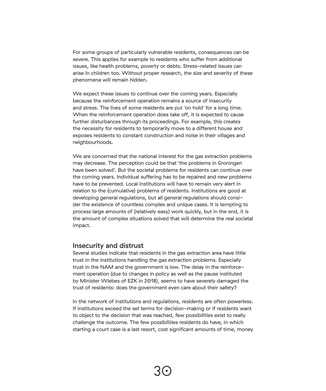For some groups of particularly vulnerable residents, consequences can be severe. This applies for example to residents who suffer from additional issues, like health problems, poverty or debts. Stress-related issues can arise in children too. Without proper research, the size and severity of these phenomena will remain hidden.

We expect these issues to continue over the coming years. Especially because the reinforcement operation remains a source of insecurity and stress. The lives of some residents are put 'on hold' for a long time. When the reinforcement operation does take off, it is expected to cause further disturbances through its proceedings. For example, this creates the necessity for residents to temporarily move to a different house and exposes residents to constant construction and noise in their villages and neighbourhoods.

We are concerned that the national interest for the gas extraction problems may decrease. The perception could be that 'the problems in Groningen have been solved'. But the societal problems for residents can continue over the coming years. Individual suffering has to be repaired and new problems have to be prevented. Local institutions will have to remain very alert in relation to the (cumulative) problems of residents. Institutions are good at developing general regulations, but all general regulations should consider the existence of countless complex and unique cases. It is tempting to process large amounts of (relatively easy) work quickly, but in the end, it is the amount of complex situations solved that will determine the real societal impact.

#### Insecurity and distrust

Several studies indicate that residents in the gas extraction area have little trust in the institutions handling the gas extraction problems. Especially trust in the NAM and the government is low. The delay in the reinforcement operation (due to changes in policy as well as the pause instituted by Minister Wiebes of EZK in 2018), seems to have severely damaged the trust of residents: does the government even care about their safety?

In the network of institutions and regulations, residents are often powerless. If institutions exceed the set terms for decision-making or if residents want to object to the decision that was reached, few possibilities exist to really challenge the outcome. The few possibilities residents do have, in which starting a court case is a last resort, cost significant amounts of time, money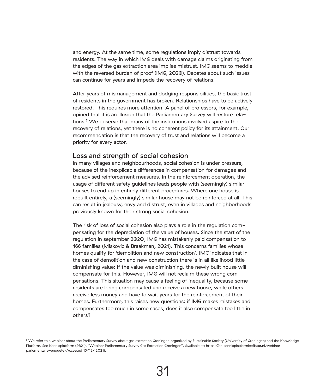and energy. At the same time, some regulations imply distrust towards residents. The way in which IMG deals with damage claims originating from the edges of the gas extraction area implies mistrust. IMG seems to meddle with the reversed burden of proof (IMG, 2020). Debates about such issues can continue for years and impede the recovery of relations.

After years of mismanagement and dodging responsibilities, the basic trust of residents in the government has broken. Relationships have to be actively restored. This requires more attention. A panel of professors, for example, opined that it is an illusion that the Parliamentary Survey will restore relations.7 We observe that many of the institutions involved aspire to the recovery of relations, yet there is no coherent policy for its attainment. Our recommendation is that the recovery of trust and relations will become a priority for every actor.

#### Loss and strength of social cohesion

In many villages and neighbourhoods, social cohesion is under pressure, because of the inexplicable differences in compensation for damages and the advised reinforcement measures. In the reinforcement operation, the usage of different safety guidelines leads people with (seemingly) similar houses to end up in entirely different procedures. Where one house is rebuilt entirely, a (seemingly) similar house may not be reinforced at all. This can result in jealousy, envy and distrust, even in villages and neighborhoods previously known for their strong social cohesion.

The risk of loss of social cohesion also plays a role in the regulation compensating for the depreciation of the value of houses. Since the start of the regulation in september 2020, IMG has mistakenly paid compensation to 166 families (Miskovic & Braakman, 2021). This concerns families whose homes qualify for 'demolition and new construction'. IMG indicates that in the case of demolition and new construction there is in all likelihood little diminishing value: if the value was diminishing, the newly built house will compensate for this. However, IMG will not reclaim these wrong compensations. This situation may cause a feeling of inequality, because some residents are being compensated and receive a new house, while others receive less money and have to wait years for the reinforcement of their homes. Furthermore, this raises new questions: if IMG makes mistakes and compensates too much in some cases, does it also compensate too little in others?

<sup>7</sup> We refer to a webinar about the Parliamentary Survey about gas extraction Groningen organized by Sustainable Society (University of Groningen) and the Knowledge Platform. See Kennisplatform (2021). "Webinar Parliamentary Survey Gas Extraction Groningen". Available at: https://en.kennisplatformleefbaar.nl/webinarparlementaire-enquete (Accessed 15/12/ 2021).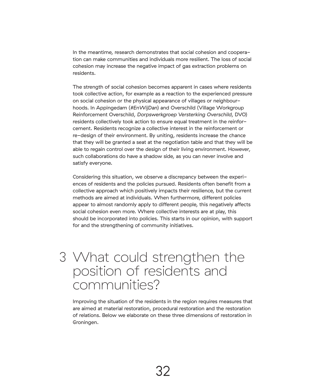In the meantime, research demonstrates that social cohesion and cooperation can make communities and individuals more resilient. The loss of social cohesion may increase the negative impact of gas extraction problems on residents.

The strength of social cohesion becomes apparent in cases where residents took collective action, for example as a reaction to the experienced pressure on social cohesion or the physical appearance of villages or neighbourhoods. In Appingedam (*#EnWijDan*) and Overschild (Village Workgroup Reinforcement Overschild, *Dorpswerkgroep Versterking Overschild*, DVO) residents collectively took action to ensure equal treatment in the reinforcement. Residents recognize a collective interest in the reinforcement or re-design of their environment. By uniting, residents increase the chance that they will be granted a seat at the negotiation table and that they will be able to regain control over the design of their living environment. However, such collaborations do have a shadow side, as you can never involve and satisfy everyone.

Considering this situation, we observe a discrepancy between the experiences of residents and the policies pursued. Residents often benefit from a collective approach which positively impacts their resilience, but the current methods are aimed at individuals. When furthermore, different policies appear to almost randomly apply to different people, this negatively affects social cohesion even more. Where collective interests are at play, this should be incorporated into policies. This starts in our opinion, with support for and the strengthening of community initiatives.

### 3 What could strengthen the position of residents and communities?

Improving the situation of the residents in the region requires measures that are aimed at material restoration, procedural restoration and the restoration of relations. Below we elaborate on these three dimensions of restoration in Groningen.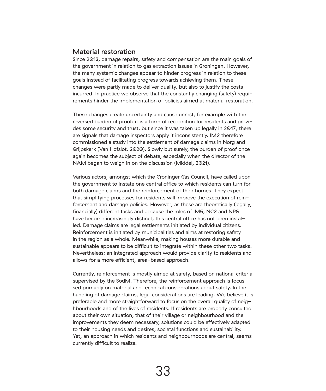#### Material restoration

Since 2013, damage repairs, safety and compensation are the main goals of the government in relation to gas extraction issues in Groningen. However, the many systemic changes appear to hinder progress in relation to these goals instead of facilitating progress towards achieving them. These changes were partly made to deliver quality, but also to justify the costs incurred. In practice we observe that the constantly changing (safety) requirements hinder the implementation of policies aimed at material restoration.

These changes create uncertainty and cause unrest, for example with the reversed burden of proof: it is a form of recognition for residents and provides some security and trust, but since it was taken up legally in 2017, there are signals that damage inspectors apply it inconsistently. IMG therefore commissioned a study into the settlement of damage claims in Norg and Grijpskerk (Van Hofslot, 2020). Slowly but surely, the burden of proof once again becomes the subject of debate, especially when the director of the NAM began to weigh in on the discussion (Middel, 2021).

Various actors, amongst which the Groninger Gas Council, have called upon the government to instate one central office to which residents can turn for both damage claims and the reinforcement of their homes. They expect that simplifying processes for residents will improve the execution of reinforcement and damage policies. However, as these are theoretically (legally, financially) different tasks and because the roles of IMG, NCG and NPG have become increasingly distinct, this central office has not been installed. Damage claims are legal settlements initiated by individual citizens. Reinforcement is initiated by municipalities and aims at restoring safety in the region as a whole. Meanwhile, making houses more durable and sustainable appears to be difficult to integrate within these other two tasks. Nevertheless: an integrated approach would provide clarity to residents and allows for a more efficient, area-based approach.

Currently, reinforcement is mostly aimed at safety, based on national criteria supervised by the SodM. Therefore, the reinforcement approach is focussed primarily on material and technical considerations about safety. In the handling of damage claims, legal considerations are leading. We believe it is preferable and more straightforward to focus on the overall quality of neighbourhoods and of the lives of residents. If residents are properly consulted about their own situation, that of their village or neighbourhood and the improvements they deem necessary, solutions could be effectively adapted to their housing needs and desires, societal functions and sustainability. Yet, an approach in which residents and neighbourhoods are central, seems currently difficult to realize.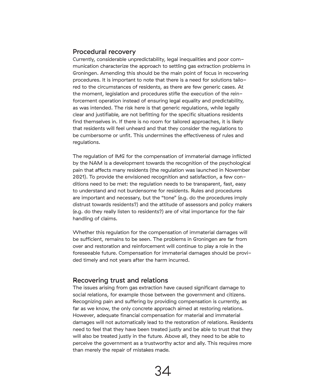#### Procedural recovery

Currently, considerable unpredictability, legal inequalities and poor communication characterize the approach to settling gas extraction problems in Groningen. Amending this should be the main point of focus in recovering procedures. It is important to note that there is a need for solutions tailored to the circumstances of residents, as there are few generic cases. At the moment, legislation and procedures stifle the execution of the reinforcement operation instead of ensuring legal equality and predictability, as was intended. The risk here is that generic regulations, while legally clear and justifiable, are not befitting for the specific situations residents find themselves in. If there is no room for tailored approaches, it is likely that residents will feel unheard and that they consider the regulations to be cumbersome or unfit. This undermines the effectiveness of rules and regulations.

The regulation of IMG for the compensation of immaterial damage inflicted by the NAM is a development towards the recognition of the psychological pain that affects many residents (the regulation was launched in November 2021). To provide the envisioned recognition and satisfaction, a few conditions need to be met: the regulation needs to be transparent, fast, easy to understand and not burdensome for residents. Rules and procedures are important and necessary, but the "tone" (e.g. do the procedures imply distrust towards residents?) and the attitude of assessors and policy makers (e.g. do they really listen to residents?) are of vital importance for the fair handling of claims.

Whether this regulation for the compensation of immaterial damages will be sufficient, remains to be seen. The problems in Groningen are far from over and restoration and reinforcement will continue to play a role in the foreseeable future. Compensation for immaterial damages should be provided timely and not years after the harm incurred.

#### Recovering trust and relations

The issues arising from gas extraction have caused significant damage to social relations, for example those between the government and citizens. Recognizing pain and suffering by providing compensation is currently, as far as we know, the only concrete approach aimed at restoring relations. However, adequate financial compensation for material and immaterial damages will not automatically lead to the restoration of relations. Residents need to feel that they have been treated justly and be able to trust that they will also be treated justly in the future. Above all, they need to be able to perceive the government as a trustworthy actor and ally. This requires more than merely the repair of mistakes made.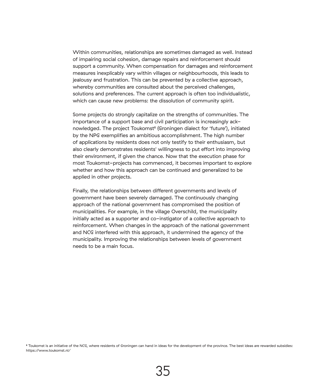Within communities, relationships are sometimes damaged as well. Instead of impairing social cohesion, damage repairs and reinforcement should support a community. When compensation for damages and reinforcement measures inexplicably vary within villages or neighbourhoods, this leads to jealousy and frustration. This can be prevented by a collective approach, whereby communities are consulted about the perceived challenges, solutions and preferences. The current approach is often too individualistic, which can cause new problems: the dissolution of community spirit.

Some projects do strongly capitalize on the strengths of communities. The importance of a support base and civil participation is increasingly acknowledged. The project Toukomst<sup>8</sup> (Groningen dialect for 'future'), initiated by the NPG exemplifies an ambitious accomplishment. The high number of applications by residents does not only testify to their enthusiasm, but also clearly demonstrates residents' willingness to put effort into improving their environment, if given the chance. Now that the execution phase for most Toukomst-projects has commenced, it becomes important to explore whether and how this approach can be continued and generalized to be applied in other projects.

Finally, the relationships between different governments and levels of government have been severely damaged. The continuously changing approach of the national government has compromised the position of municipalities. For example, in the village Overschild, the municipality initially acted as a supporter and co-instigator of a collective approach to reinforcement. When changes in the approach of the national government and NCG interfered with this approach, it undermined the agency of the municipality. Improving the relationships between levels of government needs to be a main focus.

<sup>8</sup> Toukomst is an initiative of the NCG, where residents of Groningen can hand in ideas for the development of the province. The best ideas are rewarded subsidies: https://www.toukomst.nl/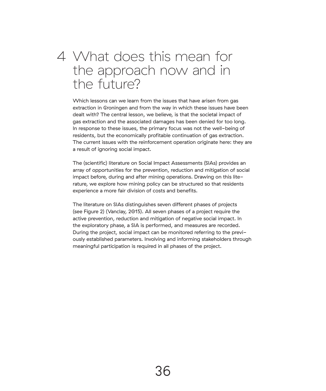## What does this mean for 4the approach now and in the future?

Which lessons can we learn from the issues that have arisen from gas extraction in Groningen and from the way in which these issues have been dealt with? The central lesson, we believe, is that the societal impact of gas extraction and the associated damages has been denied for too long. In response to these issues, the primary focus was not the well-being of residents, but the economically profitable continuation of gas extraction. The current issues with the reinforcement operation originate here: they are a result of ignoring social impact.

The (scientific) literature on Social Impact Assessments (SIAs) provides an array of opportunities for the prevention, reduction and mitigation of social impact before, during and after mining operations. Drawing on this literature, we explore how mining policy can be structured so that residents experience a more fair division of costs and benefits.

The literature on SIAs distinguishes seven different phases of projects (see Figure 2) (Vanclay, 2015). All seven phases of a project require the active prevention, reduction and mitigation of negative social impact. In the exploratory phase, a SIA is performed, and measures are recorded. During the project, social impact can be monitored referring to the previously established parameters. Involving and informing stakeholders through meaningful participation is required in all phases of the project.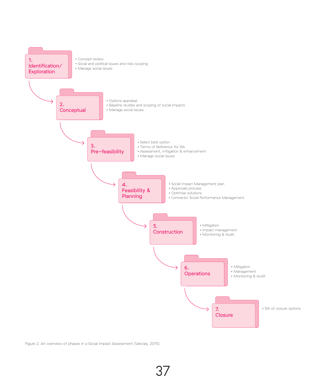

Figure 2. An overview of phases in a Social Impact Assessment (Vanclay, 2015).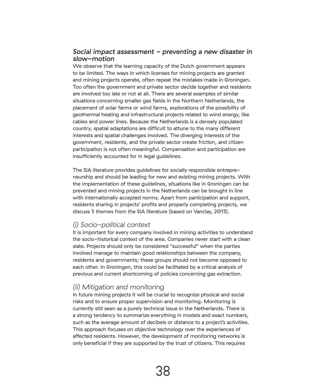#### *Social impact assessment - preventing a new disaster in slow-motion*

We observe that the learning capacity of the Dutch government appears to be limited. The ways in which licenses for mining projects are granted and mining projects operate, often repeat the mistakes made in Groningen. Too often the government and private sector decide together and residents are involved too late or not at all. There are several examples of similar situations concerning smaller gas fields in the Northern Netherlands, the placement of solar farms or wind farms, explorations of the possibility of geothermal heating and infrastructural projects related to wind energy, like cables and power lines. Because the Netherlands is a densely populated country, spatial adaptations are difficult to attune to the many different interests and spatial challenges involved. The diverging interests of the government, residents, and the private sector create friction, and citizen participation is not often meaningful. Compensation and participation are insufficiently accounted for in legal guidelines.

The SIA literature provides guidelines for socially responsible entrepreneurship and should be leading for new and existing mining projects. With the implementation of these guidelines, situations like in Groningen can be prevented and mining projects in the Netherlands can be brought in line with internationally accepted norms. Apart from participation and support, residents sharing in projects' profits and properly completing projects, we discuss 5 themes from the SIA literature (based on Vanclay, 2015).

#### *(i) Socio-political context*

It is important for every company involved in mining activities to understand the socio-historical context of the area. Companies never start with a clean slate. Projects should only be considered "successful" when the parties involved manage to maintain good relationships between the company, residents and governments; these groups should not become opposed to each other. In Groningen, this could be facilitated by a critical analysis of previous and current shortcoming of policies concerning gas extraction.

#### *(ii) Mitigation and monitoring*

In future mining projects it will be crucial to recognize physical and social risks and to ensure proper supervision and monitoring. Monitoring is currently still seen as a purely technical issue in the Netherlands. There is a strong tendency to summarize everything in models and exact numbers, such as the average amount of decibels or distance to a project's activities. This approach focuses on objective technology over the experiences of affected residents. However, the development of monitoring networks is only beneficial if they are supported by the trust of citizens. This requires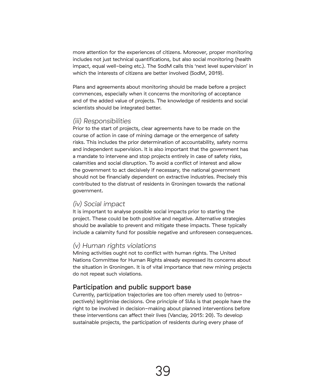more attention for the experiences of citizens. Moreover, proper monitoring includes not just technical quantifications, but also social monitoring (health impact, equal well-being etc.). The SodM calls this 'next level supervision' in which the interests of citizens are better involved (SodM, 2019).

Plans and agreements about monitoring should be made before a project commences, especially when it concerns the monitoring of acceptance and of the added value of projects. The knowledge of residents and social scientists should be integrated better.

#### *(iii) Responsibilities*

Prior to the start of projects, clear agreements have to be made on the course of action in case of mining damage or the emergence of safety risks. This includes the prior determination of accountability, safety norms and independent supervision. It is also important that the government has a mandate to intervene and stop projects entirely in case of safety risks, calamities and social disruption. To avoid a conflict of interest and allow the government to act decisively if necessary, the national government should not be financially dependent on extractive industries. Precisely this contributed to the distrust of residents in Groningen towards the national government.

#### *(iv) Social impact*

It is important to analyse possible social impacts prior to starting the project. These could be both positive and negative. Alternative strategies should be available to prevent and mitigate these impacts. These typically include a calamity fund for possible negative and unforeseen consequences.

#### *(v) Human rights violations*

Mining activities ought not to conflict with human rights. The United Nations Committee for Human Rights already expressed its concerns about the situation in Groningen. It is of vital importance that new mining projects do not repeat such violations.

#### Participation and public support base

Currently, participation trajectories are too often merely used to (retrospectively) legitimise decisions. One principle of SIAs is that people have the right to be involved in decision-making about planned interventions before these interventions can affect their lives (Vanclay, 2015: 20). To develop sustainable projects, the participation of residents during every phase of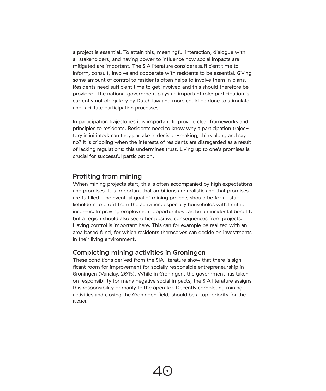a project is essential. To attain this, meaningful interaction, dialogue with all stakeholders, and having power to influence how social impacts are mitigated are important. The SIA literature considers sufficient time to inform, consult, involve and cooperate with residents to be essential. Giving some amount of control to residents often helps to involve them in plans. Residents need sufficient time to get involved and this should therefore be provided. The national government plays an important role: participation is currently not obligatory by Dutch law and more could be done to stimulate and facilitate participation processes.

In participation trajectories it is important to provide clear frameworks and principles to residents. Residents need to know why a participation trajectory is initiated: can they partake in decision-making, think along and say no? It is crippling when the interests of residents are disregarded as a result of lacking regulations: this undermines trust. Living up to one's promises is crucial for successful participation.

#### Profiting from mining

When mining projects start, this is often accompanied by high expectations and promises. It is important that ambitions are realistic and that promises are fulfilled. The eventual goal of mining projects should be for all stakeholders to profit from the activities, especially households with limited incomes. Improving employment opportunities can be an incidental benefit, but a region should also see other positive consequences from projects. Having control is important here. This can for example be realized with an area based fund, for which residents themselves can decide on investments in their living environment.

#### Completing mining activities in Groningen

These conditions derived from the SIA literature show that there is significant room for improvement for socially responsible entrepreneurship in Groningen (Vanclay, 2015). While in Groningen, the government has taken on responsibility for many negative social impacts, the SIA literature assigns this responsibility primarily to the operator. Decently completing mining activities and closing the Groningen field, should be a top-priority for the NAM.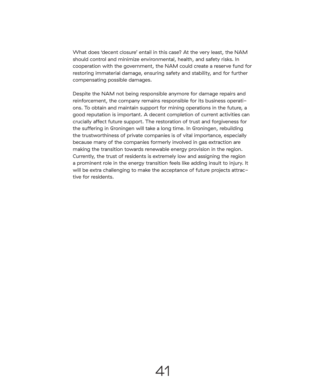What does 'decent closure' entail in this case? At the very least, the NAM should control and minimize environmental, health, and safety risks. In cooperation with the government, the NAM could create a reserve fund for restoring immaterial damage, ensuring safety and stability, and for further compensating possible damages.

Despite the NAM not being responsible anymore for damage repairs and reinforcement, the company remains responsible for its business operations. To obtain and maintain support for mining operations in the future, a good reputation is important. A decent completion of current activities can crucially affect future support. The restoration of trust and forgiveness for the suffering in Groningen will take a long time. In Groningen, rebuilding the trustworthiness of private companies is of vital importance, especially because many of the companies formerly involved in gas extraction are making the transition towards renewable energy provision in the region. Currently, the trust of residents is extremely low and assigning the region a prominent role in the energy transition feels like adding insult to injury. It will be extra challenging to make the acceptance of future projects attractive for residents.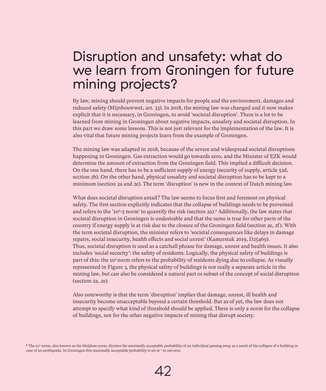## Disruption and unsafety: what do we learn from Groningen for future mining projects?

By law, mining should prevent negative impacts for people and the environment, damages and reduced safety (Mijnbouwwet, art. 33). In 2018, the mining law was changed and it now makes explicit that it is necessary, in Groningen, to avoid 'societal disruption'. There is a lot to be learned from mining in Groningen about negative impacts, unsafety and societal disruption. In this part we draw some lessons. This is not just relevant for the implementation of the law. It is also vital that future mining projects learn from the example of Groningen.

The mining law was adapted in 2018, because of the severe and widespread societal disruptions happening in Groningen. Gas extraction would go towards zero, and the Minister of EZK would determine the amount of extraction from the Groningen field. This implied a difficult decision. On the one hand, there has to be a sufficient supply of energy (security of supply, article 52d, section 2b). On the other hand, physical unsafety and societal disruption has to be kept to a minimum (section 2a and 2e). The term 'disruption' is new in the context of Dutch mining law.

What does societal disruption entail? The law seems to focus first and foremost on physical safety. The first section explicitly indicates that the collapse of buildings needs to be prevented and refers to the '105 -5 norm' to quantify the risk (section 2a).9 Additionally, the law states that societal disruption in Groningen is undesirable and that the same is true for other parts of the country if energy supply is at risk due to the closure of the Groningen field (section 2e, 2f). With the term societal disruption, the minister refers to 'societal consequences like delays in damage repairs, social insecurity, health effects and social unrest' (Kamerstuk 2019, D25469). Thus, societal disruption is used as a catchall phrase for damage, unrest and health issues. It also includes 'social security': the safety of residents. Logically, the physical safety of buildings is part of this: the 105 norm refers to the probability of residents dying due to collapse. As visually represented in Figure 3, the physical safety of buildings is not really a separate article in the mining law, but can also be considered a natural part or subset of the concept of social disruption (section 2a, 2e).

Also noteworthy is that the term 'disruption' implies that damage, unrest, ill health and insecurity become unacceptable beyond a certain threshold. But as of yet, the law does not attempt to specify what kind of threshold should be applied. There is only a norm for the collapse of buildings, not for the other negative impacts of mining that disrupt society.

<sup>9</sup> The 10<sup>5</sup> norm, also known as the Meijdam norm, dictates the maximally acceptable probability of an individual passing away as a result of the collapse of a building in case of an earthquake. In Groningen this maximally acceptable probability is set at <sup>1</sup> in 100.000.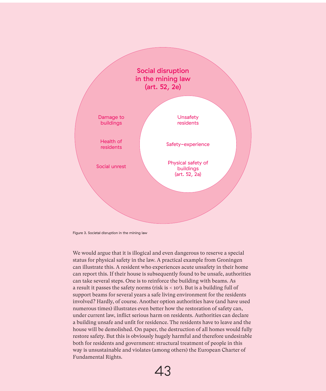

Figure 3. Societal disruption in the mining law

We would argue that it is illogical and even dangerous to reserve a special status for physical safety in the law. A practical example from Groningen can illustrate this. A resident who experiences acute unsafety in their home can report this. If their house is subsequently found to be unsafe, authorities can take several steps. One is to reinforce the building with beams. As a result it passes the safety norms (risk is < 105 ). But is a building full of support beams for several years a safe living environment for the residents involved? Hardly, of course. Another option authorities have (and have used numerous times) illustrates even better how the restoration of safety can, under current law, inflict serious harm on residents. Authorities can declare a building unsafe and unfit for residence. The residents have to leave and the house will be demolished. On paper, the destruction of all homes would fully restore safety. But this is obviously hugely harmful and therefore undesirable both for residents and government: structural treatment of people in this way is unsustainable and violates (among others) the European Charter of Fundamental Rights.

43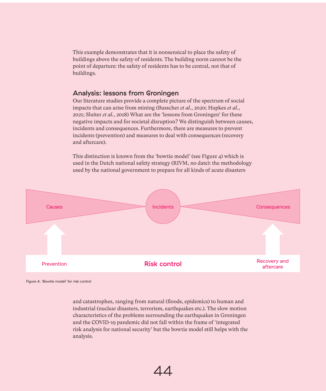This example demonstrates that it is nonsensical to place the safety of buildings above the safety of residents. The building norm cannot be the point of departure: the safety of residents has to be central, not that of buildings.

#### Analysis: lessons from Groningen

Our literature studies provide a complete picture of the spectrum of social impacts that can arise from mining (Busscher *et al.*, 2020; Hupkes *et al.*, 2021; Sluiter *et al.*, 2018) What are the 'lessons from Groningen' for these negative impacts and for societal disruption? We distinguish between causes, incidents and consequences. Furthermore, there are measures to prevent incidents (prevention) and measures to deal with consequences (recovery and aftercare).

This distinction is known from the 'bowtie model' (see Figure 4) which is used in the Dutch national safety strategy (RIVM, no date): the methodology used by the national government to prepare for all kinds of acute disasters



Figure 4. 'Bowtie model' for risk control

and catastrophes, ranging from natural (floods, epidemics) to human and industrial (nuclear disasters, terrorism, earthquakes etc.). The slow motion characteristics of the problems surrounding the earthquakes in Groningen and the COVID-19 pandemic did not fall within the frame of 'integrated risk analysis for national security' but the bowtie model still helps with the analysis.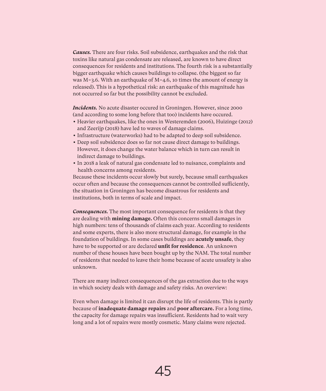*Causes.* There are four risks. Soil subsidence, earthquakes and the risk that toxins like natural gas condensate are released, are known to have direct consequences for residents and institutions. The fourth risk is a substantially bigger earthquake which causes buildings to collapse. (the biggest so far was M=3.6. With an earthquake of M=4.6, 10 times the amount of energy is released). This is a hypothetical risk: an earthquake of this magnitude has not occurred so far but the possibility cannot be excluded.

*Incidents.* No acute disaster occured in Groningen. However, since 2000 (and according to some long before that too) incidents have occured.

- Heavier earthquakes, like the ones in Westeremden (2006), Huizinge (2012) and Zeerijp (2018) have led to waves of damage claims.
- Infrastructure (waterworks) had to be adapted to deep soil subsidence.
- Deep soil subsidence does so far not cause direct damage to buildings. However, it does change the water balance which in turn can result in indirect damage to buildings.
- In 2018 a leak of natural gas condensate led to nuisance, complaints and health concerns among residents.

Because these incidents occur slowly but surely, because small earthquakes occur often and because the consequences cannot be controlled sufficiently, the situation in Groningen has become disastrous for residents and institutions, both in terms of scale and impact.

*Consequences.* The most important consequence for residents is that they are dealing with **mining damage.** Often this concerns small damages in high numbers: tens of thousands of claims each year. According to residents and some experts, there is also more structural damage, for example in the foundation of buildings. In some cases buildings are **acutely unsafe**, they have to be supported or are declared **unfit for residence**. An unknown number of these houses have been bought up by the NAM. The total number of residents that needed to leave their home because of acute unsafety is also unknown.

There are many indirect consequences of the gas extraction due to the ways in which society deals with damage and safety risks. An overview:

Even when damage is limited it can disrupt the life of residents. This is partly because of **inadequate damage repairs** and **poor aftercare.** For a long time, the capacity for damage repairs was insufficient. Residents had to wait very long and a lot of repairs were mostly cosmetic. Many claims were rejected.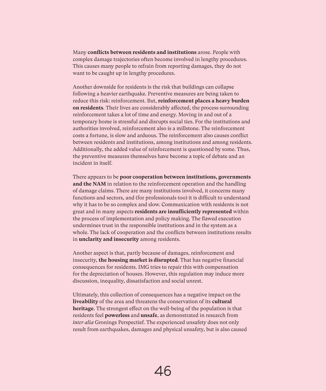Many **conflicts between residents and institutions** arose. People with complex damage trajectories often become involved in lengthy procedures. This causes many people to refrain from reporting damages, they do not want to be caught up in lengthy procedures.

Another downside for residents is the risk that buildings can collapse following a heavier earthquake. Preventive measures are being taken to reduce this risk: reinforcement. But, **reinforcement places a heavy burden on residents**. Their lives are considerably affected, the process surrounding reinforcement takes a lot of time and energy. Moving in and out of a temporary home is stressful and disrupts social ties. For the institutions and authorities involved, reinforcement also is a millstone. The reinforcement costs a fortune, is slow and arduous. The reinforcement also causes conflict between residents and institutions, among institutions and among residents. Additionally, the added value of reinforcement is questioned by some. Thus, the preventive measures themselves have become a topic of debate and an incident in itself.

There appears to be **poor cooperation between institutions, governments and the NAM** in relation to the reinforcement operation and the handling of damage claims. There are many institutions involved, it concerns many functions and sectors, and (for professionals too) it is difficult to understand why it has to be so complex and slow. Communication with residents is not great and in many aspects **residents are insufficiently represented** within the process of implementation and policy making. The flawed execution undermines trust in the responsible institutions and in the system as a whole. The lack of cooperation and the conflicts between institutions results in **unclarity and insecurity** among residents.

Another aspect is that, partly because of damages, reinforcement and insecurity, **the housing market is disrupted**. That has negative financial consequences for residents. IMG tries to repair this with compensation for the depreciation of houses. However, this regulation may induce more discussion, inequality, dissatisfaction and social unrest.

Ultimately, this collection of consequences has a negative impact on the **liveability** of the area and threatens the conservation of its **cultural heritage**. The strongest effect on the well-being of the population is that residents feel **powerless** and **unsafe**, as demonstrated in research from *inter alia* Gronings Perspectief. The experienced unsafety does not only result from earthquakes, damages and physical unsafety, but is also caused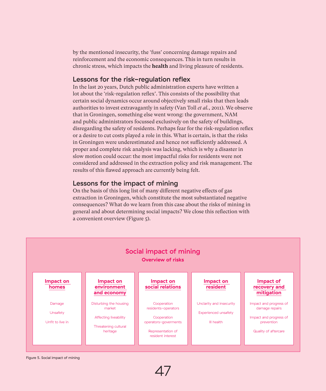by the mentioned insecurity, the 'fuss' concerning damage repairs and reinforcement and the economic consequences. This in turn results in chronic stress, which impacts the **health** and living pleasure of residents.

#### Lessons for the risk-regulation reflex

In the last 20 years, Dutch public administration experts have written a lot about the 'risk-regulation reflex'. This consists of the possibility that certain social dynamics occur around objectively small risks that then leads authorities to invest extravagantly in safety (Van Toll *et al.*, 2011). We observe that in Groningen, something else went wrong: the government, NAM and public administrators focussed exclusively on the safety of buildings, disregarding the safety of residents. Perhaps fear for the risk-regulation reflex or a desire to cut costs played a role in this. What is certain, is that the risks in Groningen were underestimated and hence not sufficiently addressed. A proper and complete risk analysis was lacking, which is why a disaster in slow motion could occur: the most impactful risks for residents were not considered and addressed in the extraction policy and risk management. The results of this flawed approach are currently being felt.

#### Lessons for the impact of mining

On the basis of this long list of many different negative effects of gas extraction in Groningen, which constitute the most substantiated negative consequences? What do we learn from this case about the risks of mining in general and about determining social impacts? We close this reflection with a convenient overview (Figure 5).



Figure 5. Social impact of mining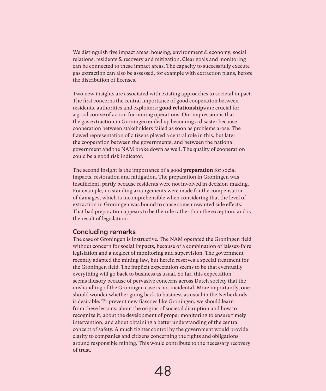We distinguish five impact areas: housing, environment & economy, social relations, residents & recovery and mitigation. Clear goals and monitoring can be connected to these impact areas. The capacity to successfully execute gas extraction can also be assessed, for example with extraction plans, before the distribution of licenses.

Two new insights are associated with existing approaches to societal impact. The first concerns the central importance of good cooperation between residents, authorities and exploiters: **good relationships** are crucial for a good course of action for mining operations. Our impression is that the gas extraction in Groningen ended up becoming a disaster because cooperation between stakeholders failed as soon as problems arose. The flawed representation of citizens played a central role in this, but later the cooperation between the governments, and between the national government and the NAM broke down as well. The quality of cooperation could be a good risk indicator.

The second insight is the importance of a good **preparation** for social impacts, restoration and mitigation. The preparation in Groningen was insufficient, partly because residents were not involved in decision-making. For example, no standing arrangements were made for the compensation of damages, which is incomprehensible when considering that the level of extraction in Groningen was bound to cause some unwanted side effects. That bad preparation appears to be the rule rather than the exception, and is the result of legislation.

#### Concluding remarks

The case of Groningen is instructive. The NAM operated the Groningen field without concern for social impacts, because of a combination of laissez-faire legislation and a neglect of monitoring and supervision. The government recently adapted the mining law, but herein reserves a special treatment for the Groningen field. The implicit expectation seems to be that eventually everything will go back to business as usual. So far, this expectation seems illusory because of pervasive concerns across Dutch society that the mishandling of the Groningen case is not incidental. More importantly, one should wonder whether going back to business as usual in the Netherlands is desirable. To prevent new fiascoes like Groningen, we should learn from these lessons: about the origins of societal disruption and how to recognize it, about the development of proper monitoring to ensure timely intervention, and about obtaining a better understanding of the central concept of safety. A much tighter control by the government would provide clarity to companies and citizens concerning the rights and obligations around responsible mining. This would contribute to the necessary recovery of trust.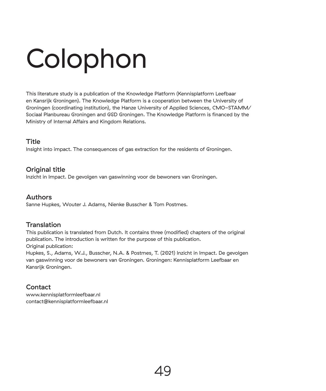## Colophon

This literature study is a publication of the Knowledge Platform (Kennisplatform Leefbaar en Kansrijk Groningen). The Knowledge Platform is a cooperation between the University of Groningen (coordinating institution), the Hanze University of Applied Sciences, CMO-STAMM/ Sociaal Planbureau Groningen and GGD Groningen. The Knowledge Platform is financed by the Ministry of Internal Affairs and Kingdom Relations.

#### Title

Insight into impact. The consequences of gas extraction for the residents of Groningen.

#### Original title

Inzicht in Impact. De gevolgen van gaswinning voor de bewoners van Groningen.

#### Authors

Sanne Hupkes, Wouter J. Adams, Nienke Busscher & Tom Postmes.

#### **Translation**

This publication is translated from Dutch. It contains three (modified) chapters of the original publication. The introduction is written for the purpose of this publication. Original publication:

Hupkes, S., Adams, W.J., Busscher, N.A. & Postmes, T. (2021) Inzicht in Impact. De gevolgen van gaswinning voor de bewoners van Groningen. Groningen: Kennisplatform Leefbaar en Kansrijk Groningen.

#### **Contact**

www.kennisplatformleefbaar.nl contact@kennisplatformleefbaar.nl